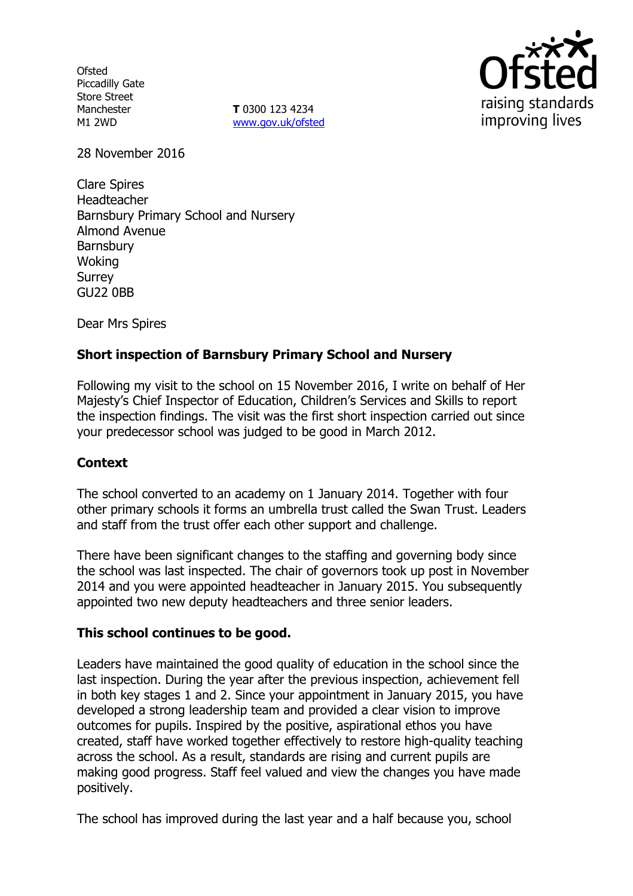**Ofsted** Piccadilly Gate Store Street Manchester M1 2WD

**T** 0300 123 4234 www.gov.uk/ofsted



28 November 2016

Clare Spires Headteacher Barnsbury Primary School and Nursery Almond Avenue Barnsbury Woking Surrey GU22 0BB

Dear Mrs Spires

# **Short inspection of Barnsbury Primary School and Nursery**

Following my visit to the school on 15 November 2016, I write on behalf of Her Majesty's Chief Inspector of Education, Children's Services and Skills to report the inspection findings. The visit was the first short inspection carried out since your predecessor school was judged to be good in March 2012.

## **Context**

The school converted to an academy on 1 January 2014. Together with four other primary schools it forms an umbrella trust called the Swan Trust. Leaders and staff from the trust offer each other support and challenge.

There have been significant changes to the staffing and governing body since the school was last inspected. The chair of governors took up post in November 2014 and you were appointed headteacher in January 2015. You subsequently appointed two new deputy headteachers and three senior leaders.

#### **This school continues to be good.**

Leaders have maintained the good quality of education in the school since the last inspection. During the year after the previous inspection, achievement fell in both key stages 1 and 2. Since your appointment in January 2015, you have developed a strong leadership team and provided a clear vision to improve outcomes for pupils. Inspired by the positive, aspirational ethos you have created, staff have worked together effectively to restore high-quality teaching across the school. As a result, standards are rising and current pupils are making good progress. Staff feel valued and view the changes you have made positively.

The school has improved during the last year and a half because you, school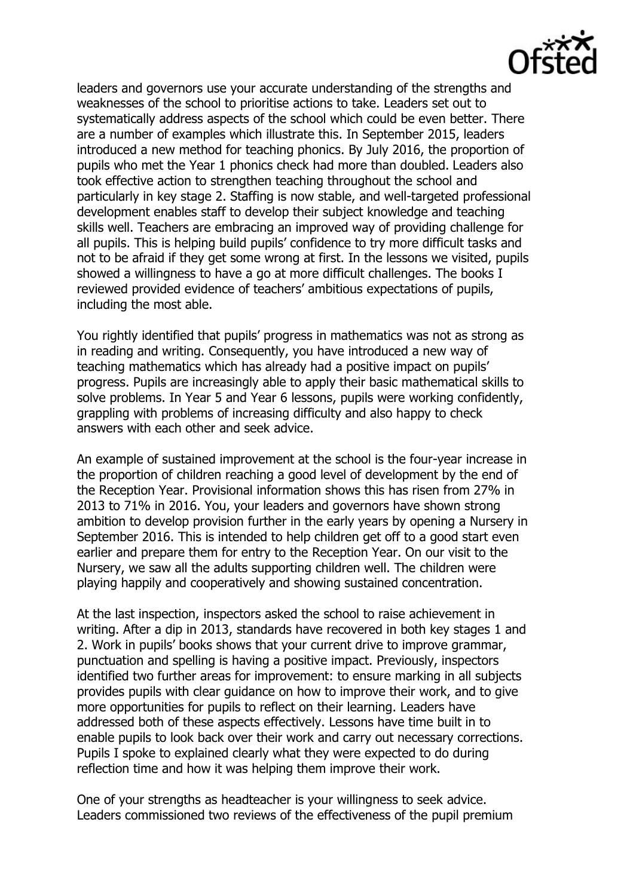leaders and governors use your accurate understanding of the strengths and weaknesses of the school to prioritise actions to take. Leaders set out to systematically address aspects of the school which could be even better. There are a number of examples which illustrate this. In September 2015, leaders introduced a new method for teaching phonics. By July 2016, the proportion of pupils who met the Year 1 phonics check had more than doubled. Leaders also took effective action to strengthen teaching throughout the school and particularly in key stage 2. Staffing is now stable, and well-targeted professional development enables staff to develop their subject knowledge and teaching skills well. Teachers are embracing an improved way of providing challenge for all pupils. This is helping build pupils' confidence to try more difficult tasks and not to be afraid if they get some wrong at first. In the lessons we visited, pupils showed a willingness to have a go at more difficult challenges. The books I reviewed provided evidence of teachers' ambitious expectations of pupils, including the most able.

You rightly identified that pupils' progress in mathematics was not as strong as in reading and writing. Consequently, you have introduced a new way of teaching mathematics which has already had a positive impact on pupils' progress. Pupils are increasingly able to apply their basic mathematical skills to solve problems. In Year 5 and Year 6 lessons, pupils were working confidently, grappling with problems of increasing difficulty and also happy to check answers with each other and seek advice.

An example of sustained improvement at the school is the four-year increase in the proportion of children reaching a good level of development by the end of the Reception Year. Provisional information shows this has risen from 27% in 2013 to 71% in 2016. You, your leaders and governors have shown strong ambition to develop provision further in the early years by opening a Nursery in September 2016. This is intended to help children get off to a good start even earlier and prepare them for entry to the Reception Year. On our visit to the Nursery, we saw all the adults supporting children well. The children were playing happily and cooperatively and showing sustained concentration.

At the last inspection, inspectors asked the school to raise achievement in writing. After a dip in 2013, standards have recovered in both key stages 1 and 2. Work in pupils' books shows that your current drive to improve grammar, punctuation and spelling is having a positive impact. Previously, inspectors identified two further areas for improvement: to ensure marking in all subjects provides pupils with clear guidance on how to improve their work, and to give more opportunities for pupils to reflect on their learning. Leaders have addressed both of these aspects effectively. Lessons have time built in to enable pupils to look back over their work and carry out necessary corrections. Pupils I spoke to explained clearly what they were expected to do during reflection time and how it was helping them improve their work.

One of your strengths as headteacher is your willingness to seek advice. Leaders commissioned two reviews of the effectiveness of the pupil premium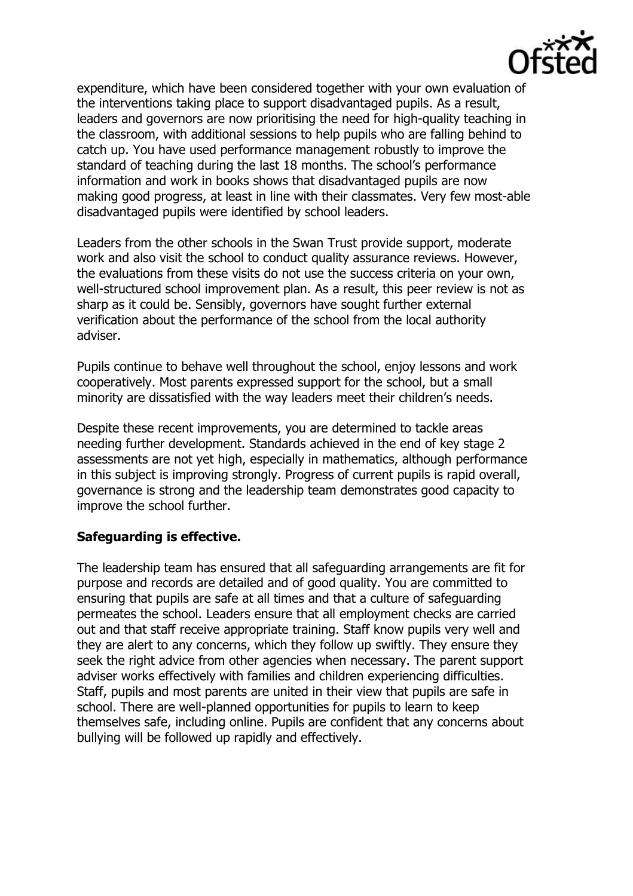

expenditure, which have been considered together with your own evaluation of the interventions taking place to support disadvantaged pupils. As a result, leaders and governors are now prioritising the need for high-quality teaching in the classroom, with additional sessions to help pupils who are falling behind to catch up. You have used performance management robustly to improve the standard of teaching during the last 18 months. The school's performance information and work in books shows that disadvantaged pupils are now making good progress, at least in line with their classmates. Very few most-able disadvantaged pupils were identified by school leaders.

Leaders from the other schools in the Swan Trust provide support, moderate work and also visit the school to conduct quality assurance reviews. However, the evaluations from these visits do not use the success criteria on your own, well-structured school improvement plan. As a result, this peer review is not as sharp as it could be. Sensibly, governors have sought further external verification about the performance of the school from the local authority adviser.

Pupils continue to behave well throughout the school, enjoy lessons and work cooperatively. Most parents expressed support for the school, but a small minority are dissatisfied with the way leaders meet their children's needs.

Despite these recent improvements, you are determined to tackle areas needing further development. Standards achieved in the end of key stage 2 assessments are not yet high, especially in mathematics, although performance in this subject is improving strongly. Progress of current pupils is rapid overall, governance is strong and the leadership team demonstrates good capacity to improve the school further.

## **Safeguarding is effective.**

The leadership team has ensured that all safeguarding arrangements are fit for purpose and records are detailed and of good quality. You are committed to ensuring that pupils are safe at all times and that a culture of safeguarding permeates the school. Leaders ensure that all employment checks are carried out and that staff receive appropriate training. Staff know pupils very well and they are alert to any concerns, which they follow up swiftly. They ensure they seek the right advice from other agencies when necessary. The parent support adviser works effectively with families and children experiencing difficulties. Staff, pupils and most parents are united in their view that pupils are safe in school. There are well-planned opportunities for pupils to learn to keep themselves safe, including online. Pupils are confident that any concerns about bullying will be followed up rapidly and effectively.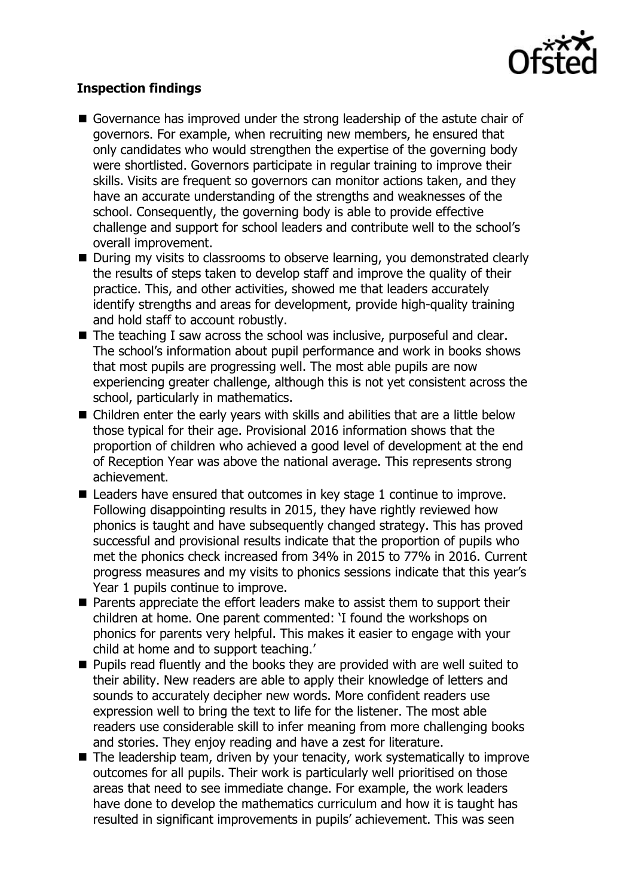

# **Inspection findings**

- Governance has improved under the strong leadership of the astute chair of governors. For example, when recruiting new members, he ensured that only candidates who would strengthen the expertise of the governing body were shortlisted. Governors participate in regular training to improve their skills. Visits are frequent so governors can monitor actions taken, and they have an accurate understanding of the strengths and weaknesses of the school. Consequently, the governing body is able to provide effective challenge and support for school leaders and contribute well to the school's overall improvement.
- During my visits to classrooms to observe learning, you demonstrated clearly the results of steps taken to develop staff and improve the quality of their practice. This, and other activities, showed me that leaders accurately identify strengths and areas for development, provide high-quality training and hold staff to account robustly.
- The teaching I saw across the school was inclusive, purposeful and clear. The school's information about pupil performance and work in books shows that most pupils are progressing well. The most able pupils are now experiencing greater challenge, although this is not yet consistent across the school, particularly in mathematics.
- Children enter the early years with skills and abilities that are a little below those typical for their age. Provisional 2016 information shows that the proportion of children who achieved a good level of development at the end of Reception Year was above the national average. This represents strong achievement.
- Leaders have ensured that outcomes in key stage 1 continue to improve. Following disappointing results in 2015, they have rightly reviewed how phonics is taught and have subsequently changed strategy. This has proved successful and provisional results indicate that the proportion of pupils who met the phonics check increased from 34% in 2015 to 77% in 2016. Current progress measures and my visits to phonics sessions indicate that this year's Year 1 pupils continue to improve.
- Parents appreciate the effort leaders make to assist them to support their children at home. One parent commented: 'I found the workshops on phonics for parents very helpful. This makes it easier to engage with your child at home and to support teaching.'
- **Pupils read fluently and the books they are provided with are well suited to** their ability. New readers are able to apply their knowledge of letters and sounds to accurately decipher new words. More confident readers use expression well to bring the text to life for the listener. The most able readers use considerable skill to infer meaning from more challenging books and stories. They enjoy reading and have a zest for literature.
- $\blacksquare$  The leadership team, driven by your tenacity, work systematically to improve outcomes for all pupils. Their work is particularly well prioritised on those areas that need to see immediate change. For example, the work leaders have done to develop the mathematics curriculum and how it is taught has resulted in significant improvements in pupils' achievement. This was seen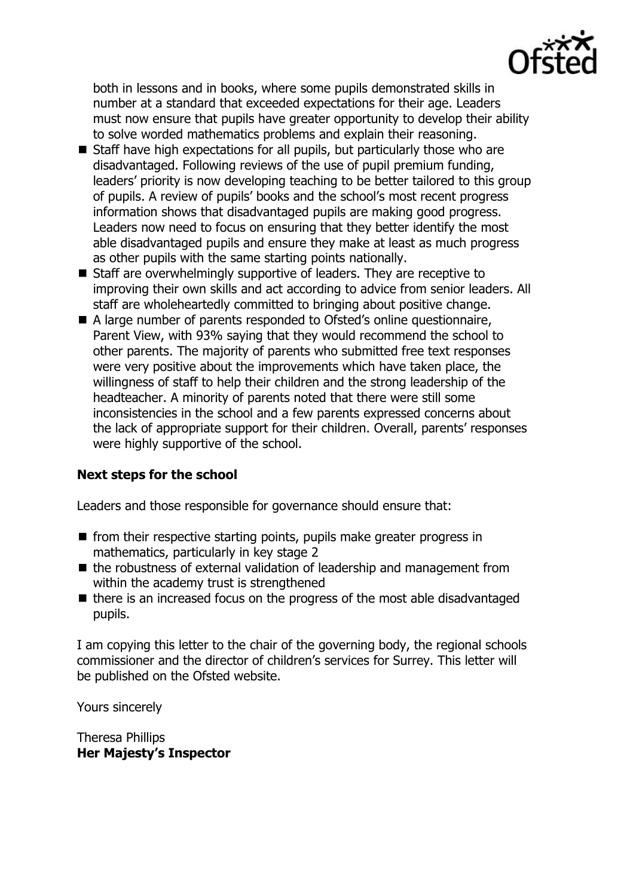

both in lessons and in books, where some pupils demonstrated skills in number at a standard that exceeded expectations for their age. Leaders must now ensure that pupils have greater opportunity to develop their ability to solve worded mathematics problems and explain their reasoning.

- Staff have high expectations for all pupils, but particularly those who are disadvantaged. Following reviews of the use of pupil premium funding, leaders' priority is now developing teaching to be better tailored to this group of pupils. A review of pupils' books and the school's most recent progress information shows that disadvantaged pupils are making good progress. Leaders now need to focus on ensuring that they better identify the most able disadvantaged pupils and ensure they make at least as much progress as other pupils with the same starting points nationally.
- Staff are overwhelmingly supportive of leaders. They are receptive to improving their own skills and act according to advice from senior leaders. All staff are wholeheartedly committed to bringing about positive change.
- A large number of parents responded to Ofsted's online questionnaire, Parent View, with 93% saying that they would recommend the school to other parents. The majority of parents who submitted free text responses were very positive about the improvements which have taken place, the willingness of staff to help their children and the strong leadership of the headteacher. A minority of parents noted that there were still some inconsistencies in the school and a few parents expressed concerns about the lack of appropriate support for their children. Overall, parents' responses were highly supportive of the school.

## **Next steps for the school**

Leaders and those responsible for governance should ensure that:

- $\blacksquare$  from their respective starting points, pupils make greater progress in mathematics, particularly in key stage 2
- $\blacksquare$  the robustness of external validation of leadership and management from within the academy trust is strengthened
- there is an increased focus on the progress of the most able disadvantaged pupils.

I am copying this letter to the chair of the governing body, the regional schools commissioner and the director of children's services for Surrey. This letter will be published on the Ofsted website.

Yours sincerely

Theresa Phillips **Her Majesty's Inspector**